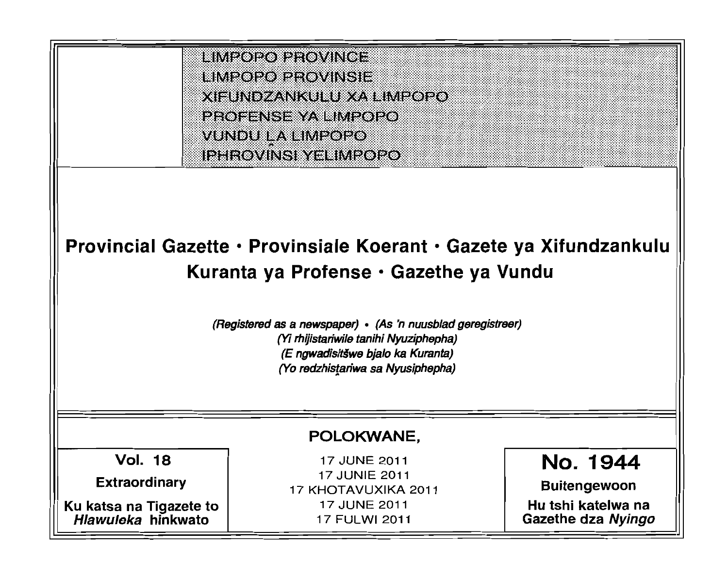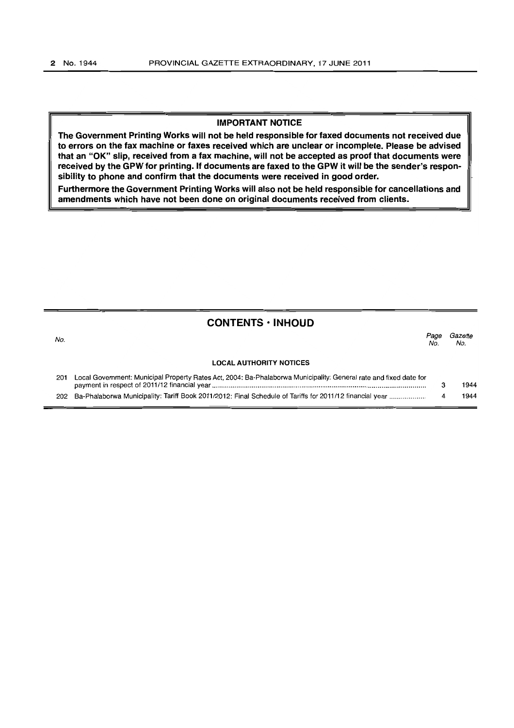#### **IMPORTANT NOTICE**

**The Government Printing Works will not be held responsible for faxed documents not received due to errors on the fax machine or faxes received which are unclear or incomplete. Please be advised that an "OK" slip, received from a fax machine, will not be accepted as proof that documents were received by the GPW for printing. If documents are faxed to the GPW it will be the sender's responsibility to phone and confirm that the documents were received in good order.** 

**Furthermore the Government Printing Works will also not be held responsible for cancellations and amendments which have not been done on original documents received from clients.** 

## **CONTENTS • INHOUD**

| No. |                                                                                                                   | Page<br>No. | Gazette<br>No. |
|-----|-------------------------------------------------------------------------------------------------------------------|-------------|----------------|
|     | <b>LOCAL AUTHORITY NOTICES</b>                                                                                    |             |                |
| 201 | Local Government: Municipal Property Rates Act, 2004: Ba-Phalaborwa Municipality: General rate and fixed date for |             | 1944           |

202 Ba-Phalaborwa Municipality: Tariff Book 2011/2012: Final Schedule of Tariffs for 2011/12 financial year ................... 4 1944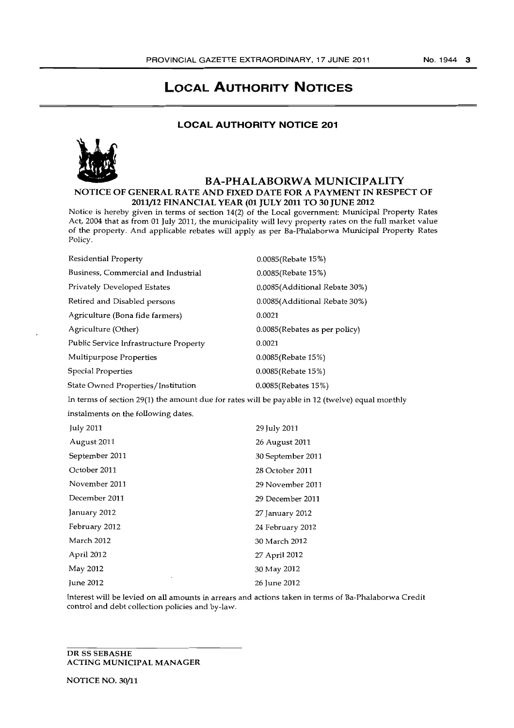# **LOCAL AUTHORITY NOTICES**

## **LOCAL AUTHORITY NOTICE 201**



## BA-PHALABORWA MUNICIPALITY NOTICE OF GENERAL RATE AND FIXED DATE FOR A PAYMENT IN RESPECT OF 2011/12 FINANCIAL YEAR (01 JULY 2011 TO 30 JUNE 2012

Notice is hereby given in terms of section 14(2) of the Local government: Municipal Property Rates Act, 2004 that as from 01 July 2011, the municipality will levy property rates on the full market value of the property. And applicable rebates will apply as per Ba-Phalaborwa Municipal Property Rates Policy.

| <b>Residential Property</b>                                                                     | 0.0085(Rebate 15%)            |  |  |
|-------------------------------------------------------------------------------------------------|-------------------------------|--|--|
| Business, Commercial and Industrial                                                             | 0.0085(Rebate 15%)            |  |  |
| Privately Developed Estates                                                                     | 0.0085(Additional Rebate 30%) |  |  |
| Retired and Disabled persons                                                                    | 0.0085(Additional Rebate 30%) |  |  |
| Agriculture (Bona fide farmers)                                                                 | 0.0021                        |  |  |
| Agriculture (Other)                                                                             | 0.0085(Rebates as per policy) |  |  |
| Public Service Infrastructure Property                                                          | 0.0021                        |  |  |
| Multipurpose Properties                                                                         | 0.0085(Rebate 15%)            |  |  |
| <b>Special Properties</b>                                                                       | 0.0085(Rebate 15%)            |  |  |
| State Owned Properties/Institution                                                              | 0.0085(Rebates 15%)           |  |  |
| In terms of section 29(1) the amount due for rates will be payable in 12 (twelve) equal monthly |                               |  |  |
| instalments on the following dates.                                                             |                               |  |  |
| July 2011                                                                                       | 29 July 2011                  |  |  |
|                                                                                                 |                               |  |  |

| August 2011    | 26 August 2011    |
|----------------|-------------------|
| September 2011 | 30 September 2011 |
| October 2011   | 28 October 2011   |
| November 2011  | 29 November 2011  |
| December 2011  | 29 December 2011  |
| January 2012   | 27 January 2012   |
| February 2012  | 24 February 2012  |
| March 2012     | 30 March 2012     |
| April 2012     | 27 April 2012     |
| May 2012       | 30 May 2012       |
| June 2012      | 26 June 2012      |

Interest will be levied on all amounts in arrears and actions taken in terms of Ba-Phalaborwa Credit control and debt collection policies and by-law.

## DR SS SEBASHE ACTING MUNICIPAL MANAGER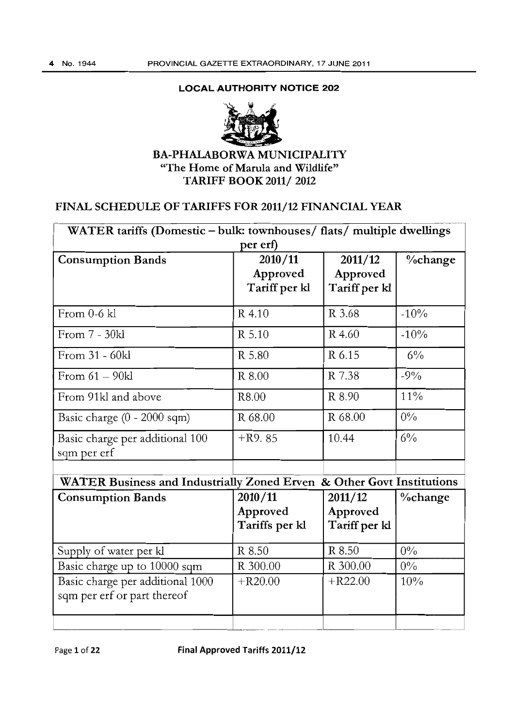## LOCAL AUTHORITY **NOTICE** 202



## BA-PHALABORWA MUNICIPALITY "The Home of Marula and Wildlife" TARIFF BOOK 2011/ 2012

# FINAL SCHEDULE OF TARIFFS FOR 2011/12 FINANCIAL YEAR

| WATER tariffs (Domestic - bulk: townhouses/ flats/ multiple dwellings |                |               |                |  |  |
|-----------------------------------------------------------------------|----------------|---------------|----------------|--|--|
| per erf)                                                              |                |               |                |  |  |
| <b>Consumption Bands</b>                                              | 2010/11        | 2011/12       | <b>%change</b> |  |  |
|                                                                       | Approved       | Approved      |                |  |  |
|                                                                       | Tariff per kl  | Tariff per kl |                |  |  |
| From $0-6$ kl                                                         | R 4.10         | R 3.68        | $-10%$         |  |  |
| From 7 - 30kl                                                         | R 5.10         | R 4.60        | $-10%$         |  |  |
| From 31 - 60kl                                                        | R 5.80         | R 6.15        | $6\%$          |  |  |
| From $61 - 90kl$                                                      | R 8.00         | R 7.38        | $-9%$          |  |  |
| From 91kl and above                                                   | R8.00          | R 8.90        | $11\%$         |  |  |
| Basic charge $(0 - 2000 \text{ sqm})$                                 | R 68.00        | R 68.00       | $0\%$          |  |  |
| Basic charge per additional 100                                       | $+R9.85$       | 10.44         | $6\%$          |  |  |
| sqm per erf                                                           |                |               |                |  |  |
|                                                                       |                |               |                |  |  |
| WATER Business and Industrially Zoned Erven & Other Govt Institutions |                |               |                |  |  |
| <b>Consumption Bands</b>                                              | 2010/11        | 2011/12       | %change        |  |  |
|                                                                       | Approved       | Approved      |                |  |  |
|                                                                       | Tariffs per kl | Tariff per kl |                |  |  |
| Supply of water per kl                                                | R 8.50         | R 8.50        | $0\%$          |  |  |
| Basic charge up to 10000 sqm                                          | R 300.00       | R 300.00      | $0\%$          |  |  |
| Basic charge per additional 1000                                      | $+R20.00$      | $+R22.00$     | 10%            |  |  |
| sqm per erf or part thereof                                           |                |               |                |  |  |
|                                                                       |                |               |                |  |  |

Page 1 of 22 Final Approved Tariffs 2011/12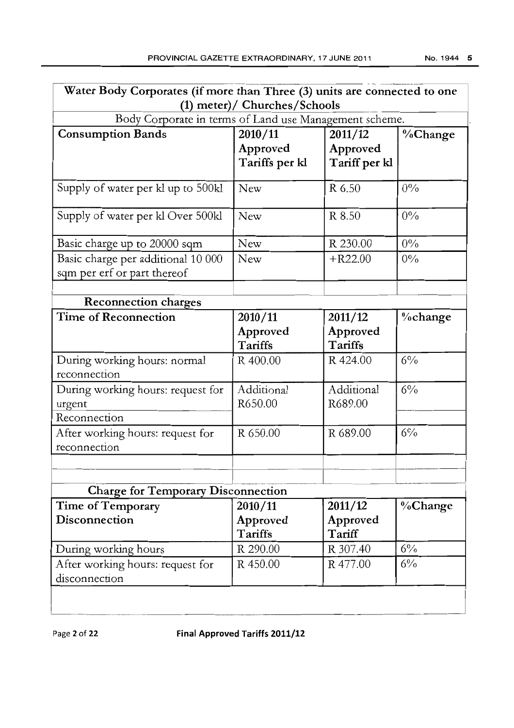| Water Body Corporates (if more than Three (3) units are connected to one<br>(1) meter)/ Churches/Schools |                                       |                                      |             |  |  |
|----------------------------------------------------------------------------------------------------------|---------------------------------------|--------------------------------------|-------------|--|--|
| Body Corporate in terms of Land use Management scheme.                                                   |                                       |                                      |             |  |  |
| <b>Consumption Bands</b>                                                                                 | 2010/11<br>Approved<br>Tariffs per kl | 2011/12<br>Approved<br>Tariff per kl | %Change     |  |  |
| Supply of water per kl up to 500kl                                                                       | <b>New</b>                            | R 6.50                               | $0\%$       |  |  |
| Supply of water per kl Over 500kl                                                                        | New                                   | R 8.50                               | $0\%$       |  |  |
| Basic charge up to 20000 sqm                                                                             | New                                   | R 230.00                             | 0%          |  |  |
| Basic charge per additional 10 000<br>sqm per erf or part thereof                                        | New                                   | $+R22.00$                            | 0%          |  |  |
| <b>Reconnection charges</b>                                                                              |                                       |                                      |             |  |  |
| <b>Time of Reconnection</b>                                                                              | 2010/11<br>Approved<br>Tariffs        | 2011/12<br>Approved<br>Tariffs       | $\%$ change |  |  |
| During working hours: normal<br>reconnection                                                             | R 400.00                              | R 424.00                             | $6\%$       |  |  |
| During working hours: request for<br>urgent<br>Reconnection                                              | Additional<br>R650.00                 | Additional<br>R689.00                | $6\%$       |  |  |
| After working hours: request for<br>reconnection                                                         | R 650.00                              | R 689.00                             | $6\%$       |  |  |
|                                                                                                          |                                       |                                      |             |  |  |
| <b>Charge for Temporary Disconnection</b>                                                                |                                       |                                      |             |  |  |
| Time of Temporary<br>Disconnection                                                                       | 2010/11<br>Approved<br>Tariffs        | 2011/12<br>Approved<br>Tariff        | %Change     |  |  |
| During working hours                                                                                     | R 290.00                              | R 307.40                             | $6\%$       |  |  |
| After working hours: request for<br>disconnection                                                        | R 450.00                              | R 477.00                             | $6\%$       |  |  |
|                                                                                                          |                                       |                                      |             |  |  |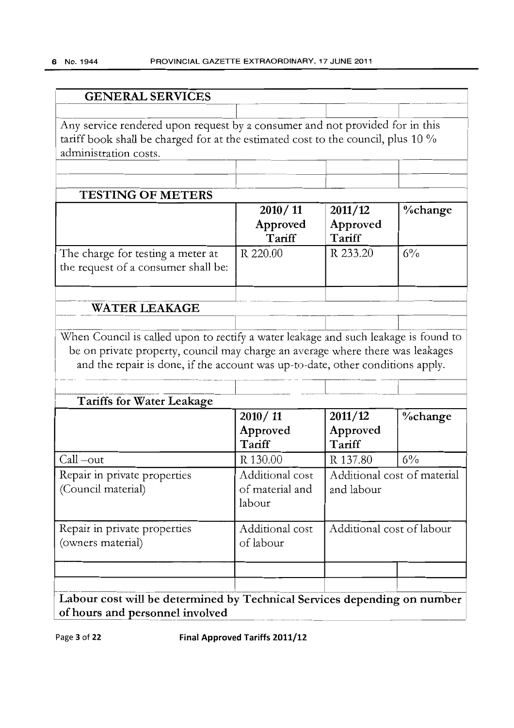| Any service rendered upon request by a consumer and not provided for in this                                       |                                              |                           |                             |
|--------------------------------------------------------------------------------------------------------------------|----------------------------------------------|---------------------------|-----------------------------|
| tariff book shall be charged for at the estimated cost to the council, plus 10 %                                   |                                              |                           |                             |
| administration costs.                                                                                              |                                              |                           |                             |
|                                                                                                                    |                                              |                           |                             |
| <b>TESTING OF METERS</b>                                                                                           |                                              |                           |                             |
|                                                                                                                    | 2010/11                                      | 2011/12                   | <b>%change</b>              |
|                                                                                                                    | Approved<br>Tariff                           | Approved<br>Tariff        |                             |
| The charge for testing a meter at<br>the request of a consumer shall be:                                           | R 220.00                                     | R 233.20                  | $6\%$                       |
| <b>WATER LEAKAGE</b>                                                                                               |                                              |                           |                             |
| and the repair is done, if the account was up-to-date, other conditions apply.<br><b>Tariffs for Water Leakage</b> |                                              |                           |                             |
|                                                                                                                    | 2010/11                                      |                           |                             |
|                                                                                                                    |                                              |                           |                             |
|                                                                                                                    |                                              | 2011/12                   | %change                     |
|                                                                                                                    | Approved                                     | Approved                  |                             |
|                                                                                                                    | Tariff                                       | Tariff                    |                             |
|                                                                                                                    | R 130.00                                     | R 137.80                  | $6\%$                       |
| Call-out<br>Repair in private properties<br>(Council material)                                                     | Additional cost<br>of material and<br>labour | and labour                | Additional cost of material |
|                                                                                                                    |                                              |                           |                             |
| Repair in private properties<br>(owners material)                                                                  | Additional cost<br>of labour                 | Additional cost of labour |                             |
|                                                                                                                    |                                              |                           |                             |
| Labour cost will be determined by Technical Services depending on number                                           |                                              |                           |                             |

Page 3 of 22 Final Approved Tariffs 2011/12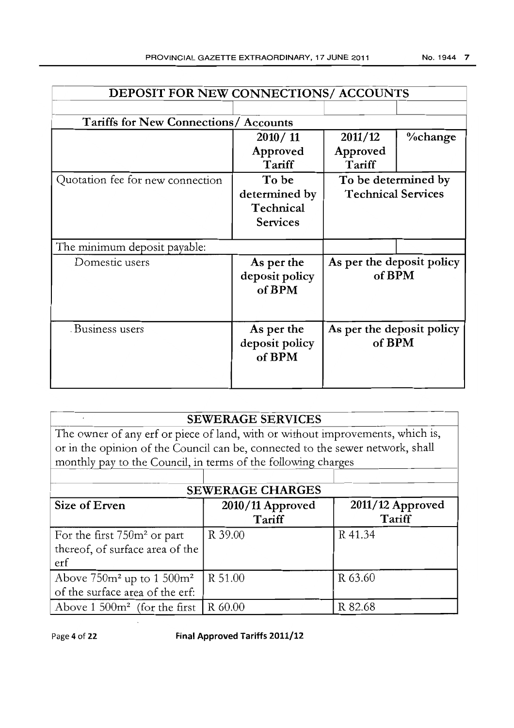| <b>DEPOSIT FOR NEW CONNECTIONS/ ACCOUNTS</b> |                                                                                  |                           |  |  |  |  |
|----------------------------------------------|----------------------------------------------------------------------------------|---------------------------|--|--|--|--|
|                                              |                                                                                  |                           |  |  |  |  |
| <b>Tariffs for New Connections/ Accounts</b> |                                                                                  |                           |  |  |  |  |
| 2010/11                                      | 2011/12                                                                          | %change                   |  |  |  |  |
| Approved                                     | Approved                                                                         |                           |  |  |  |  |
| Tariff                                       | Tariff                                                                           |                           |  |  |  |  |
| To be                                        | To be determined by                                                              |                           |  |  |  |  |
| determined by                                | <b>Technical Services</b>                                                        |                           |  |  |  |  |
| Technical                                    |                                                                                  |                           |  |  |  |  |
| <b>Services</b>                              |                                                                                  |                           |  |  |  |  |
|                                              |                                                                                  |                           |  |  |  |  |
|                                              |                                                                                  |                           |  |  |  |  |
|                                              |                                                                                  |                           |  |  |  |  |
|                                              | of BPM                                                                           |                           |  |  |  |  |
|                                              |                                                                                  |                           |  |  |  |  |
|                                              |                                                                                  |                           |  |  |  |  |
|                                              |                                                                                  |                           |  |  |  |  |
|                                              | As per the deposit policy<br>of BPM                                              |                           |  |  |  |  |
|                                              |                                                                                  |                           |  |  |  |  |
|                                              |                                                                                  |                           |  |  |  |  |
|                                              |                                                                                  |                           |  |  |  |  |
|                                              | As per the<br>deposit policy<br>of BPM<br>As per the<br>deposit policy<br>of BPM | As per the deposit policy |  |  |  |  |

The owner of any erf or piece of land, with or without improvements, which is, or in the opinion of the Council can be, connected to the sewer network, shall monthly pay to the Council, in terms of the following charges

| <b>SEWERAGE CHARGES</b>                                                  |                            |                              |  |  |  |
|--------------------------------------------------------------------------|----------------------------|------------------------------|--|--|--|
| Size of Erven                                                            | 2010/11 Approved<br>Tariff | $2011/12$ Approved<br>Tariff |  |  |  |
| For the first $750m^2$ or part<br>thereof, of surface area of the<br>erf | R 39.00                    | R 41.34                      |  |  |  |
| Above $750m^2$ up to $1500m^2$<br>of the surface area of the erf:        | R 51.00                    | R 63.60                      |  |  |  |
| Above 1 500 $m^2$ (for the first   R 60.00                               |                            | R 82.68                      |  |  |  |

Page 4 of 22 Final Approved Tariffs 2011/12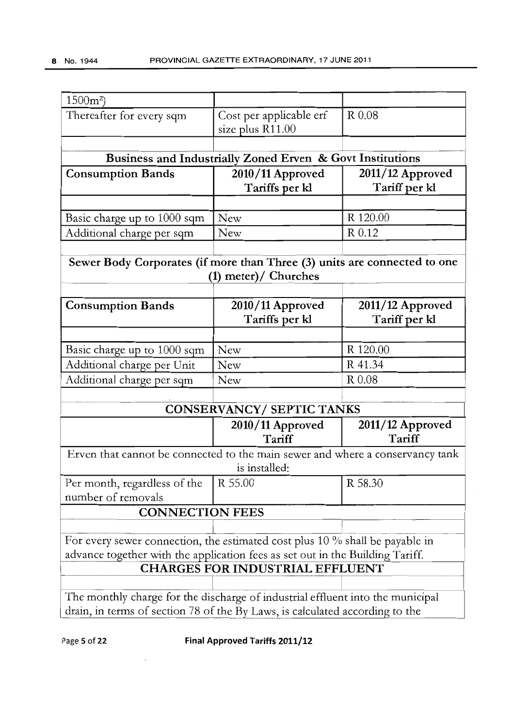| $1500m^2$                                                                                                                                                      |                                                           |                            |
|----------------------------------------------------------------------------------------------------------------------------------------------------------------|-----------------------------------------------------------|----------------------------|
| Thereafter for every sqm                                                                                                                                       | Cost per applicable erf<br>size plus R11.00               | R 0.08                     |
|                                                                                                                                                                | Business and Industrially Zoned Erven & Govt Institutions |                            |
| <b>Consumption Bands</b>                                                                                                                                       | 2010/11 Approved                                          | $2011/12$ Approved         |
|                                                                                                                                                                | Tariffs per kl                                            | Tariff per kl              |
|                                                                                                                                                                |                                                           |                            |
| Basic charge up to 1000 sqm                                                                                                                                    | New                                                       | R 120.00                   |
| Additional charge per sqm                                                                                                                                      | New                                                       | R 0.12                     |
| Sewer Body Corporates (if more than Three (3) units are connected to one                                                                                       | (1) meter)/ Churches                                      |                            |
| <b>Consumption Bands</b>                                                                                                                                       | 2010/11 Approved                                          | 2011/12 Approved           |
|                                                                                                                                                                | Tariffs per kl                                            | Tariff per kl              |
|                                                                                                                                                                |                                                           |                            |
| Basic charge up to 1000 sqm                                                                                                                                    | <b>New</b>                                                | R 120.00                   |
| Additional charge per Unit                                                                                                                                     | <b>New</b>                                                | R 41.34                    |
| Additional charge per sqm                                                                                                                                      | New                                                       | R 0.08                     |
|                                                                                                                                                                |                                                           |                            |
|                                                                                                                                                                | <b>CONSERVANCY/ SEPTIC TANKS</b>                          |                            |
|                                                                                                                                                                | 2010/11 Approved<br>Tariff                                | 2011/12 Approved<br>Tariff |
| Erven that cannot be connected to the main sewer and where a conservancy tank                                                                                  | is installed:                                             |                            |
| Per month, regardless of the                                                                                                                                   | R 55.00                                                   | R 58.30                    |
| number of removals                                                                                                                                             |                                                           |                            |
| <b>CONNECTION FEES</b>                                                                                                                                         |                                                           |                            |
|                                                                                                                                                                |                                                           |                            |
| For every sewer connection, the estimated cost plus $10\%$ shall be payable in                                                                                 |                                                           |                            |
| advance together with the application fees as set out in the Building Tariff.                                                                                  |                                                           |                            |
|                                                                                                                                                                | <b>CHARGES FOR INDUSTRIAL EFFLUENT</b>                    |                            |
|                                                                                                                                                                |                                                           |                            |
| The monthly charge for the discharge of industrial effluent into the municipal<br>drain, in terms of section 78 of the By Laws, is calculated according to the |                                                           |                            |
|                                                                                                                                                                |                                                           |                            |

Page 5 of 22 Final Approved Tariffs 2011/12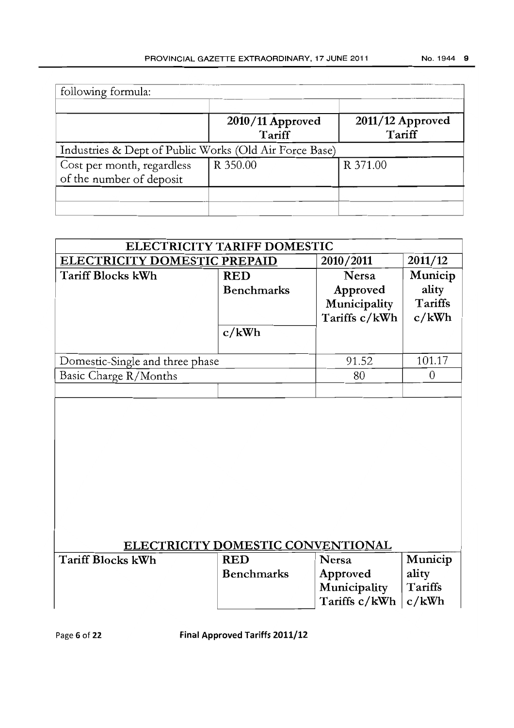| following formula:                                     |                              |                            |  |  |
|--------------------------------------------------------|------------------------------|----------------------------|--|--|
|                                                        | $2010/11$ Approved<br>Tariff | 2011/12 Approved<br>Tariff |  |  |
| Industries & Dept of Public Works (Old Air Force Base) |                              |                            |  |  |
| Cost per month, regardless<br>of the number of deposit | R 350.00                     | R 371.00                   |  |  |
|                                                        |                              |                            |  |  |

| <b>ELECTRICITY TARIFF DOMESTIC</b>  |                   |               |         |  |
|-------------------------------------|-------------------|---------------|---------|--|
| <b>ELECTRICITY DOMESTIC PREPAID</b> |                   | 2010/2011     | 2011/12 |  |
| Tariff Blocks kWh                   | <b>RED</b>        | Nersa         | Municip |  |
|                                     | <b>Benchmarks</b> | Approved      | ality   |  |
|                                     |                   | Municipality  | Tariffs |  |
|                                     |                   | Tariffs c/kWh | c/kWh   |  |
|                                     | c/kWh             |               |         |  |
|                                     |                   |               |         |  |
| Domestic-Single and three phase     |                   | 91.52         | 101.17  |  |
| Basic Charge R/Months               |                   | 80            |         |  |
|                                     |                   |               |         |  |

# ELECTRICITY DOMESTIC CONVENTIONAL Tariff Blocks

| kWh | <b>RED</b>        | Nersa                   | Municip |
|-----|-------------------|-------------------------|---------|
|     | <b>Benchmarks</b> | Approved                | ality   |
|     |                   | Municipality            | Tariffs |
|     |                   | Tariffs $c/kWh$ $c/kWh$ |         |

Page 6 of 22 Final Approved Tariffs 2011/12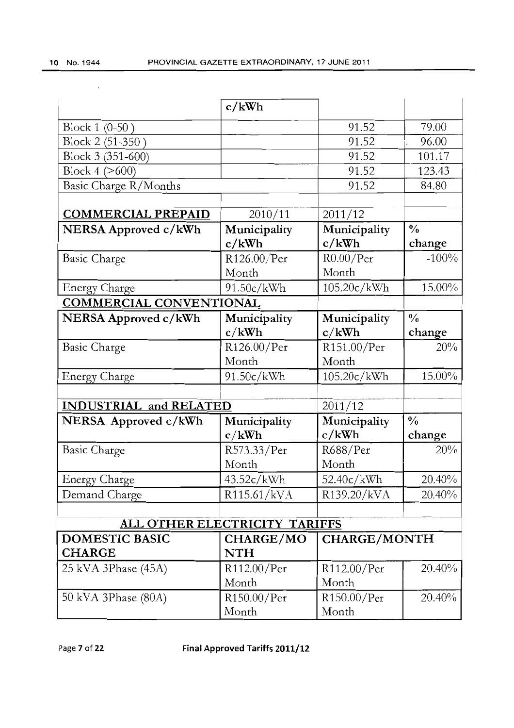|                                | c/kWh                   |                       |                         |
|--------------------------------|-------------------------|-----------------------|-------------------------|
| Block 1 (0-50)                 |                         | 91.52                 | 79.00                   |
| Block 2 (51-350)               |                         | 91.52                 | 96.00                   |
| Block 3 (351-600)              |                         | 91.52                 | 101.17                  |
| Block $4$ ( $>600$ )           |                         | 91.52                 | 123.43                  |
| Basic Charge R/Months          |                         | 91.52                 | 84.80                   |
| <b>COMMERCIAL PREPAID</b>      | 2010/11                 | 2011/12               |                         |
| NERSA Approved c/kWh           | Municipality<br>c/kWh   | Municipality<br>c/kWh | $\frac{0}{0}$<br>change |
| Basic Charge                   | R126.00/Per             | $R0.00$ /Per          | $-100%$                 |
|                                | Month                   | Month                 |                         |
| <b>Energy Charge</b>           | 91.50c/kWh              | 105.20c/kWh           | 15.00%                  |
| <b>COMMERCIAL CONVENTIONAL</b> |                         |                       |                         |
| NERSA Approved c/kWh           | Municipality            | Municipality          | $\frac{0}{0}$           |
|                                | c/kWh                   | c/kWh                 | change<br>20%           |
| <b>Basic Charge</b>            | R126.00/Per<br>Month    | R151.00/Per<br>Month  |                         |
| <b>Energy Charge</b>           | 91.50c/kWh              | 105.20c/kWh           | 15.00%                  |
|                                |                         |                       |                         |
| <b>INDUSTRIAL and RELATED</b>  |                         | 2011/12               |                         |
| NERSA Approved c/kWh           | Municipality<br>c/kWh   | Municipality<br>c/kWh | $\frac{0}{0}$<br>change |
| <b>Basic Charge</b>            | R573.33/Per             | R688/Per              | 20%                     |
|                                | Month                   | Month                 |                         |
| <b>Energy Charge</b>           | 43.52c/kWh              | 52.40c/kWh            | 20.40%                  |
| Demand Charge                  | R115.61/kVA             | R139.20/kVA           | 20.40%                  |
| ALL OTHER ELECTRICITY TARIFFS  |                         |                       |                         |
| <b>DOMESTIC BASIC</b>          |                         |                       |                         |
| <b>CHARGE</b>                  | CHARGE/MO<br><b>NTH</b> | <b>CHARGE/MONTH</b>   |                         |
| 25 kVA 3Phase (45A)            | R112.00/Per             | R112.00/Per           | 20.40%                  |
|                                | Month                   | Month                 |                         |
| 50 kVA 3Phase (80A)            | R150.00/Per             | R150.00/Per           | 20.40%                  |
|                                | Month                   | Month                 |                         |

Page 7 of **22 Final Approved Tariffs 2011/12**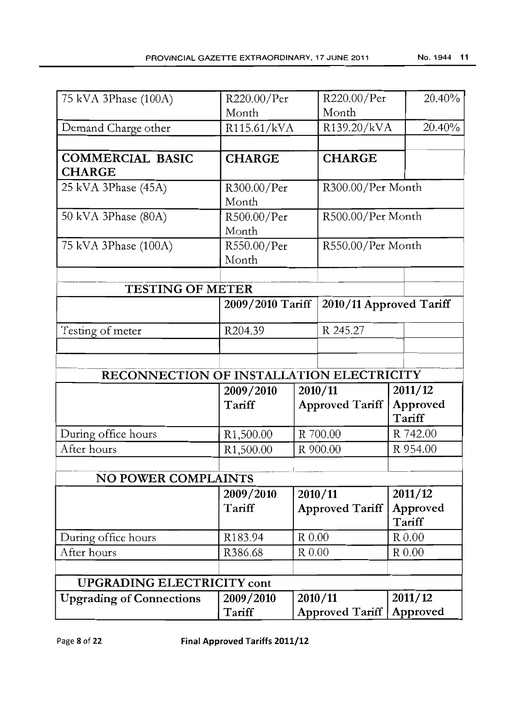| 75 kVA 3Phase (100A)                     | R220.00/Per            |        | R220.00/Per             | 20.40%             |
|------------------------------------------|------------------------|--------|-------------------------|--------------------|
|                                          | Month                  | Month  |                         |                    |
| Demand Charge other                      | R115.61/kVA            |        | R139.20/kVA             | 20.40%             |
|                                          |                        |        |                         |                    |
| <b>COMMERCIAL BASIC</b><br><b>CHARGE</b> | <b>CHARGE</b>          |        | <b>CHARGE</b>           |                    |
| 25 kVA 3Phase (45A)                      | R300.00/Per            |        | R300.00/Per Month       |                    |
|                                          | Month                  |        |                         |                    |
| 50 kVA 3Phase (80A)                      | R500.00/Per            |        | R500.00/Per Month       |                    |
|                                          | Month                  |        |                         |                    |
| 75 kVA 3Phase (100A)                     | R550.00/Per            |        | R550.00/Per Month       |                    |
|                                          | Month                  |        |                         |                    |
|                                          |                        |        |                         |                    |
| <b>TESTING OF METER</b>                  |                        |        |                         |                    |
|                                          | 2009/2010 Tariff       |        | 2010/11 Approved Tariff |                    |
| Testing of meter                         | R204.39                |        | R 245.27                |                    |
|                                          |                        |        |                         |                    |
|                                          |                        |        |                         |                    |
| RECONNECTION OF INSTALLATION ELECTRICITY |                        |        |                         |                    |
|                                          | 2009/2010              |        | 2010/11                 | 2011/12            |
|                                          | Tariff                 |        | <b>Approved Tariff</b>  | Approved<br>Tariff |
| During office hours                      | R <sub>1</sub> ,500.00 |        | R 700.00                | R 742.00           |
| After hours                              | R <sub>1</sub> ,500.00 |        | R 900.00                | R 954.00           |
|                                          |                        |        |                         |                    |
| <b>NO POWER COMPLAINTS</b>               |                        |        |                         |                    |
|                                          | 2009/2010              |        | 2010/11                 | 2011/12            |
|                                          | Tariff                 |        | <b>Approved Tariff</b>  | Approved<br>Tariff |
| During office hours                      | R183.94                | R 0.00 |                         | R 0.00             |
| After hours                              | R386.68                | R 0.00 |                         | ${\rm R}$ 0.00     |
|                                          |                        |        |                         |                    |
| <b>UPGRADING ELECTRICITY cont</b>        |                        |        |                         |                    |
| <b>Upgrading of Connections</b>          | 2009/2010              |        | 2010/11                 | 2011/12            |
|                                          | Tariff                 |        | Approved Tariff         | Approved           |

Page 8 of **22 Final Approved Tariffs 2011/12**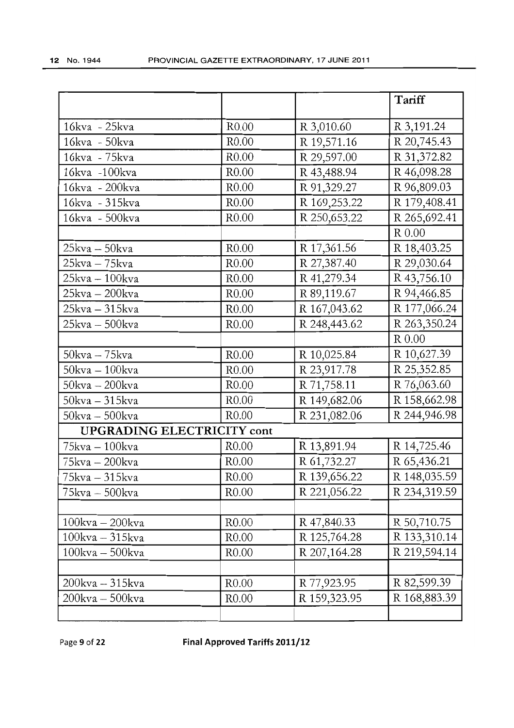|                                   |                   |              | Tariff       |
|-----------------------------------|-------------------|--------------|--------------|
| 16kva - 25kva                     | R <sub>0.00</sub> | R 3,010.60   | R 3,191.24   |
| 16kva - 50kva                     | R <sub>0.00</sub> | R 19,571.16  | R 20,745.43  |
| 16kva - 75kva                     | R <sub>0.00</sub> | R 29,597.00  | R 31,372.82  |
| 16kva -100kva                     | R0.00             | R 43,488.94  | R 46,098.28  |
| 16kva - 200kva                    | R0.00             | R 91,329.27  | R 96,809.03  |
| 16kva - 315kva                    | R <sub>0.00</sub> | R 169,253.22 | R 179,408.41 |
| 16kva - 500kva                    | R <sub>0.00</sub> | R 250,653.22 | R 265,692.41 |
|                                   |                   |              | R 0.00       |
| $25kva - 50kva$                   | R <sub>0.00</sub> | R 17,361.56  | R 18,403.25  |
| 25kva – 75kva                     | R <sub>0.00</sub> | R 27,387.40  | R 29,030.64  |
| 25kva – 100kva                    | R <sub>0.00</sub> | R 41,279.34  | R 43,756.10  |
| 25kva - 200kva                    | R <sub>0.00</sub> | R 89,119.67  | R 94,466.85  |
| 25kva – 315kva                    | R <sub>0.00</sub> | R 167,043.62 | R 177,066.24 |
| 25kva – 500kva                    | R <sub>0.00</sub> | R 248,443.62 | R 263,350.24 |
|                                   |                   |              | $R$ 0.00     |
| $50$ kva – $75$ kva               | R <sub>0.00</sub> | R 10,025.84  | R 10,627.39  |
| $50$ kva – $100$ kva              | R <sub>0.00</sub> | R 23,917.78  | R 25,352.85  |
| $50$ kva – $200$ kva              | R <sub>0.00</sub> | R 71,758.11  | R 76,063.60  |
| $50$ kva – $315$ kva              | R <sub>0.00</sub> | R 149,682.06 | R 158,662.98 |
| $50$ kva – $500$ kva              | R <sub>0.00</sub> | R 231,082.06 | R 244,946.98 |
| <b>UPGRADING ELECTRICITY cont</b> |                   |              |              |
| 75kva - 100kva                    | R <sub>0.00</sub> | R 13,891.94  | R 14,725.46  |
| 75kva - 200kva                    | R <sub>0.00</sub> | R 61,732.27  | R 65,436.21  |
| 75kva - 315kva                    | R <sub>0.00</sub> | R 139,656.22 | R 148,035.59 |
| 75kva – 500kva                    | R <sub>0.00</sub> | R 221,056.22 | R 234,319.59 |
|                                   |                   |              |              |
| $100kva - 200kva$                 | R <sub>0.00</sub> | R 47,840.33  | R 50,710.75  |
| $100kva - 315kva$                 | R <sub>0.00</sub> | R 125,764.28 | R 133,310.14 |
| $100$ kva - $500$ kva             | R <sub>0.00</sub> | R 207,164.28 | R 219,594.14 |
|                                   |                   |              |              |
| 200kva - 315kva                   | R0.00             | R 77,923.95  | R 82,599.39  |
| 200kva - 500kva                   | R <sub>0.00</sub> | R 159,323.95 | R 168,883.39 |
|                                   |                   |              |              |

Page 9 of **22 Final Approved Tariffs 2011/12**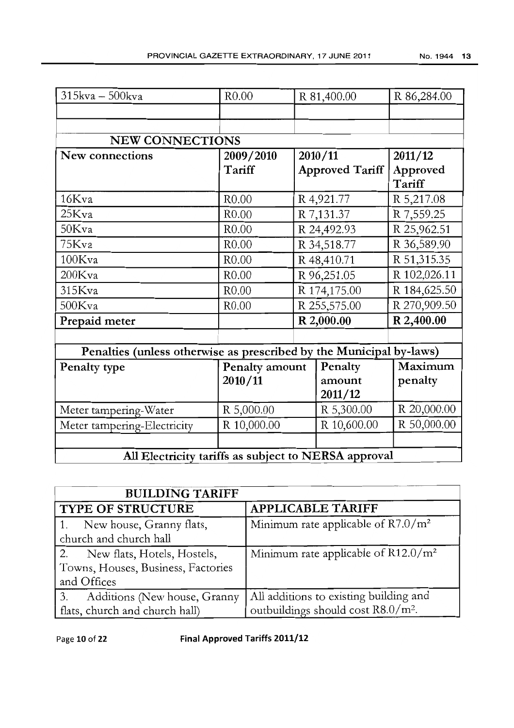| 315kva - 500kva                                                     | R <sub>0.00</sub> | R 81,400.00            | R 86,284.00        |
|---------------------------------------------------------------------|-------------------|------------------------|--------------------|
|                                                                     |                   |                        |                    |
|                                                                     |                   |                        |                    |
| <b>NEW CONNECTIONS</b>                                              |                   |                        |                    |
| New connections                                                     | 2009/2010         | 2010/11                | 2011/12            |
|                                                                     | Tariff            | <b>Approved Tariff</b> | Approved<br>Tariff |
| 16Kva                                                               | R <sub>0.00</sub> | R 4,921.77             | R 5,217.08         |
| 25Kva                                                               | R <sub>0.00</sub> | R 7,131.37             | R 7,559.25         |
| 50Kva                                                               | R0.00             | R 24,492.93            | R 25,962.51        |
| 75Kva                                                               | R <sub>0.00</sub> | R 34,518.77            | R 36,589.90        |
| $100$ Kva                                                           | R <sub>0.00</sub> | R 48,410.71            | R 51,315.35        |
| $200$ Kva                                                           | R <sub>0.00</sub> | R 96,251.05            | R 102,026.11       |
| 315Kva                                                              | R <sub>0.00</sub> | R 174,175.00           | R 184,625.50       |
| 500Kva                                                              | R <sub>0.00</sub> | R 255,575.00           | R 270,909.50       |
| Prepaid meter                                                       |                   | R 2,000.00             | R 2,400.00         |
| Penalties (unless otherwise as prescribed by the Municipal by-laws) |                   |                        |                    |
| Penalty type                                                        | Penalty amount    | Penalty                | Maximum            |
|                                                                     | 2010/11           | amount                 | penalty            |
|                                                                     |                   | 2011/12                |                    |
| Meter tampering-Water                                               | R 5,000.00        | R 5,300.00             | R 20,000.00        |
| Meter tampering-Electricity                                         | R 10,000.00       | R 10,600.00            | R 50,000.00        |
|                                                                     |                   |                        |                    |
| All Electricity tariffs as subject to NERSA approval                |                   |                        |                    |

| <b>BUILDING TARIFF</b>                                                              |                                                                                 |
|-------------------------------------------------------------------------------------|---------------------------------------------------------------------------------|
| <b>TYPE OF STRUCTURE</b>                                                            | <b>APPLICABLE TARIFF</b>                                                        |
| 1. New house, Granny flats,<br>church and church hall                               | Minimum rate applicable of $R7.0/m^2$                                           |
| 2. New flats, Hotels, Hostels,<br>Towns, Houses, Business, Factories<br>and Offices | Minimum rate applicable of $R12.0/m^2$                                          |
| 3.<br>Additions (New house, Granny<br>flats, church and church hall)                | All additions to existing building and<br>outbuildings should cost $R8.0/m^2$ . |

Page 10 of 22 Final Approved Tariffs 2011/12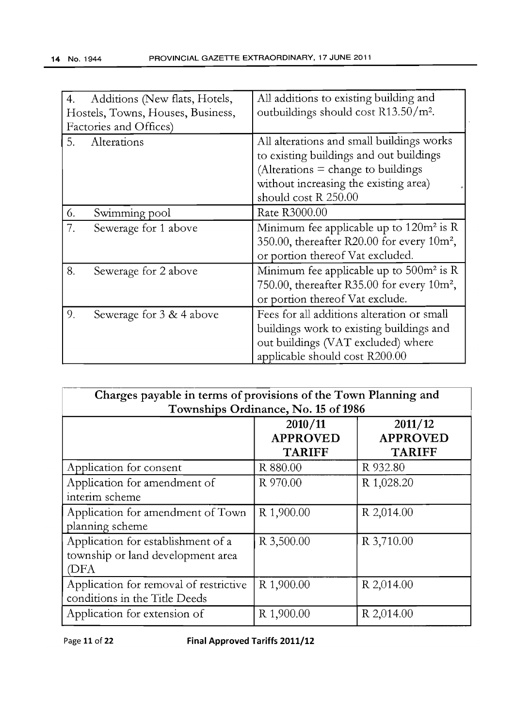| Additions (New flats, Hotels,<br>4.<br>Hostels, Towns, Houses, Business,<br>Factories and Offices) | All additions to existing building and<br>outbuildings should cost R13.50/m <sup>2</sup> .                                                                                                    |
|----------------------------------------------------------------------------------------------------|-----------------------------------------------------------------------------------------------------------------------------------------------------------------------------------------------|
| Alterations<br>5.                                                                                  | All alterations and small buildings works<br>to existing buildings and out buildings<br>(Alterations $=$ change to buildings<br>without increasing the existing area)<br>should cost R 250.00 |
| Swimming pool<br>6.                                                                                | Rate R3000.00                                                                                                                                                                                 |
| 7.<br>Sewerage for 1 above                                                                         | Minimum fee applicable up to $120m^2$ is R<br>350.00, thereafter R20.00 for every $10m^2$ ,<br>or portion thereof Vat excluded.                                                               |
| 8.<br>Sewerage for 2 above                                                                         | Minimum fee applicable up to 500m <sup>2</sup> is R<br>750.00, thereafter R35.00 for every $10m^2$ ,<br>or portion thereof Vat exclude.                                                       |
| 9.<br>Sewerage for 3 & 4 above                                                                     | Fees for all additions alteration or small<br>buildings work to existing buildings and<br>out buildings (VAT excluded) where<br>applicable should cost R200.00                                |

| Charges payable in terms of provisions of the Town Planning and                 |                                             |                                             |  |
|---------------------------------------------------------------------------------|---------------------------------------------|---------------------------------------------|--|
| Townships Ordinance, No. 15 of 1986                                             |                                             |                                             |  |
|                                                                                 | 2010/11<br><b>APPROVED</b><br><b>TARIFF</b> | 2011/12<br><b>APPROVED</b><br><b>TARIFF</b> |  |
| Application for consent                                                         | R 880.00                                    | R 932.80                                    |  |
| Application for amendment of<br>interim scheme                                  | R 970.00                                    | R 1,028.20                                  |  |
| Application for amendment of Town<br>planning scheme                            | R 1,900.00                                  | R 2,014.00                                  |  |
| Application for establishment of a<br>township or land development area<br>(DFA | R 3,500.00                                  | R 3,710.00                                  |  |
| Application for removal of restrictive<br>conditions in the Title Deeds         | R 1,900.00                                  | R 2,014.00                                  |  |
| Application for extension of                                                    | R 1,900.00                                  | R 2,014.00                                  |  |

Page 11 of 22 Final Approved Tariffs 2011/12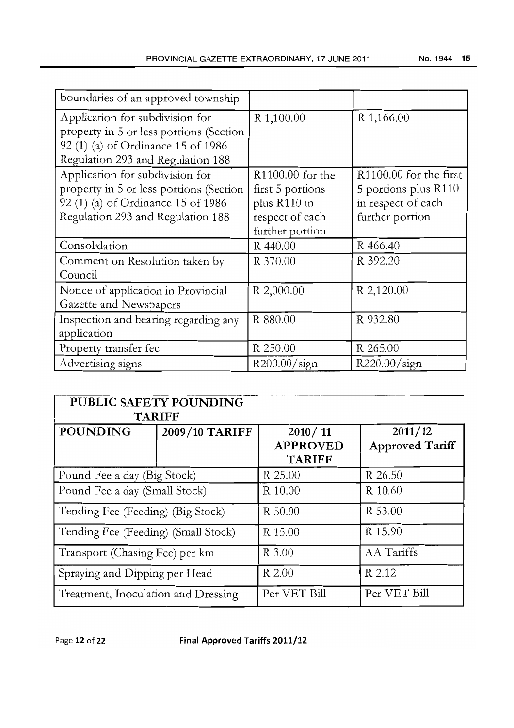| boundaries of an approved township                                                                                                                    |                                                                                            |                                                                                         |
|-------------------------------------------------------------------------------------------------------------------------------------------------------|--------------------------------------------------------------------------------------------|-----------------------------------------------------------------------------------------|
| Application for subdivision for<br>property in 5 or less portions (Section<br>92 (1) (a) of Ordinance 15 of 1986<br>Regulation 293 and Regulation 188 | R 1,100.00                                                                                 | R 1,166.00                                                                              |
| Application for subdivision for<br>property in 5 or less portions (Section<br>92 (1) (a) of Ordinance 15 of 1986<br>Regulation 293 and Regulation 188 | R1100.00 for the<br>first 5 portions<br>plus R110 in<br>respect of each<br>further portion | R1100.00 for the first<br>5 portions plus R110<br>in respect of each<br>further portion |
| Consolidation                                                                                                                                         | R 440.00                                                                                   | R 466.40                                                                                |
| Comment on Resolution taken by<br>Council                                                                                                             | R 370.00                                                                                   | R 392.20                                                                                |
| Notice of application in Provincial<br>Gazette and Newspapers                                                                                         | R 2,000.00                                                                                 | R 2,120.00                                                                              |
| Inspection and hearing regarding any<br>application                                                                                                   | R 880.00                                                                                   | R 932.80                                                                                |
| Property transfer fee                                                                                                                                 | R 250.00                                                                                   | R 265.00                                                                                |
| Advertising signs                                                                                                                                     | R200.00/sign                                                                               | R220.00/sign                                                                            |

| <b>PUBLIC SAFETY POUNDING</b><br><b>TARIFF</b> |                |                                             |                                   |
|------------------------------------------------|----------------|---------------------------------------------|-----------------------------------|
| <b>POUNDING</b>                                | 2009/10 TARIFF | 2010/11<br><b>APPROVED</b><br><b>TARIFF</b> | 2011/12<br><b>Approved Tariff</b> |
| Pound Fee a day (Big Stock)                    |                | R 25.00                                     | R 26.50                           |
| Pound Fee a day (Small Stock)                  |                | R 10.00                                     | R 10.60                           |
| Tending Fee (Feeding) (Big Stock)              |                | R 50.00                                     | R 53.00                           |
| Tending Fee (Feeding) (Small Stock)            |                | R 15.00                                     | R 15.90                           |
| Transport (Chasing Fee) per km                 |                | R 3.00                                      | AA Tariffs                        |
| Spraying and Dipping per Head                  |                | R 2.00                                      | R 2.12                            |
| Treatment, Inoculation and Dressing            |                | Per VET Bill                                | Per VET Bill                      |

Page 12 of **22 Final Approved Tariffs 2011/12**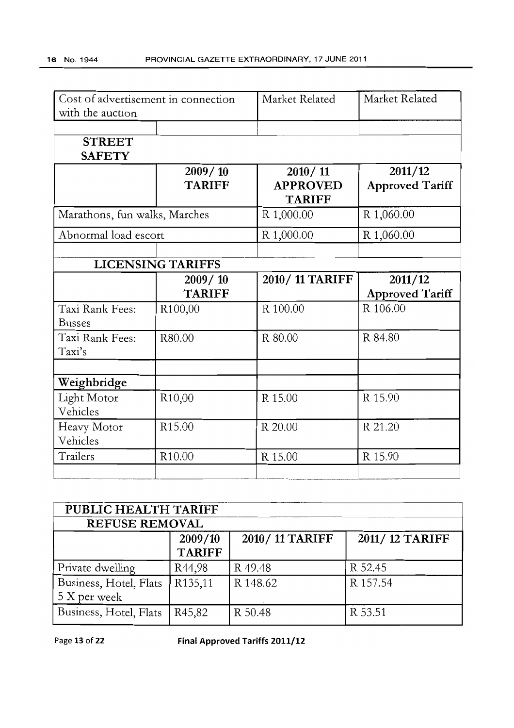| Cost of advertisement in connection<br>with the auction |                          | Market Related                              | Market Related                    |
|---------------------------------------------------------|--------------------------|---------------------------------------------|-----------------------------------|
|                                                         |                          |                                             |                                   |
| <b>STREET</b><br><b>SAFETY</b>                          |                          |                                             |                                   |
|                                                         | 2009/10<br><b>TARIFF</b> | 2010/11<br><b>APPROVED</b><br><b>TARIFF</b> | 2011/12<br><b>Approved Tariff</b> |
| Marathons, fun walks, Marches                           |                          | R 1,000.00                                  | R 1,060.00                        |
| Abnormal load escort                                    |                          | R 1,000.00                                  | R 1,060.00                        |
|                                                         | <b>LICENSING TARIFFS</b> |                                             |                                   |
|                                                         | 2009/10<br><b>TARIFF</b> | 2010/11 TARIFF                              | 2011/12<br><b>Approved Tariff</b> |
| Taxi Rank Fees:<br><b>Busses</b>                        | R100,00                  | R 100.00                                    | R 106.00                          |
| Taxi Rank Fees:<br>Taxi's                               | R80.00                   | R 80.00                                     | R 84.80                           |
| Weighbridge                                             |                          |                                             |                                   |
| Light Motor<br>Vehicles                                 | R <sub>10</sub> ,00      | R 15.00                                     | R 15.90                           |
| Heavy Motor<br>Vehicles                                 | R <sub>15.00</sub>       | R 20.00                                     | R 21.20                           |
| Trailers                                                | R10.00                   | R 15.00                                     | R 15.90                           |

| PUBLIC HEALTH TARIFF   |                     |                |                |  |
|------------------------|---------------------|----------------|----------------|--|
| <b>REFUSE REMOVAL</b>  |                     |                |                |  |
|                        | 2009/10             | 2010/11 TARIFF | 2011/12 TARIFF |  |
|                        | <b>TARIFF</b>       |                |                |  |
| Private dwelling       | R44,98              | R 49.48        | R 52.45        |  |
| Business, Hotel, Flats | R <sub>135,11</sub> | R 148.62       | R 157.54       |  |
| 5 X per week           |                     |                |                |  |
| Business, Hotel, Flats | R <sub>45</sub> ,82 | R 50.48        | R 53.51        |  |

Page 13 of **22 Final Approved Tariffs 2011/12**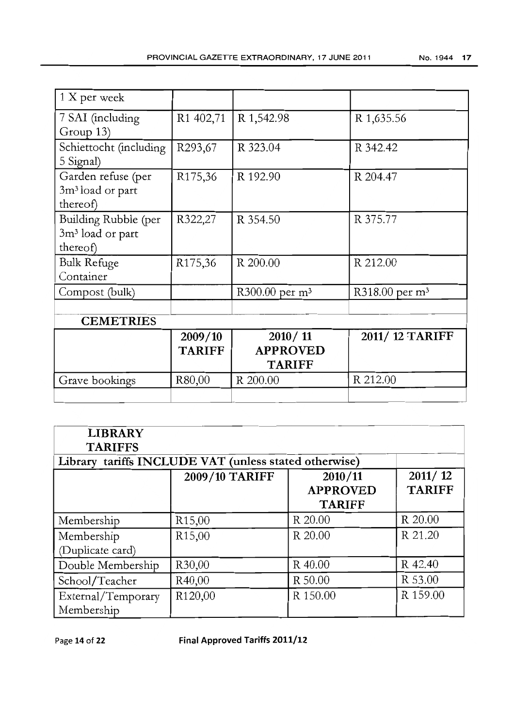| R1 402,71                | R 1,542.98                                    | R 1,635.56                 |
|--------------------------|-----------------------------------------------|----------------------------|
| R293,67                  | R 323.04                                      | R 342.42                   |
| R <sub>175</sub> , 36    | R 192.90                                      | R 204.47                   |
| R322,27                  | R 354.50                                      | R 375.77                   |
| R175,36                  | R 200.00                                      | R 212.00                   |
|                          | R300.00 per m <sup>3</sup>                    | R318.00 per m <sup>3</sup> |
|                          |                                               |                            |
| 2009/10<br><b>TARIFF</b> | 2010 / 11<br><b>APPROVED</b><br><b>TARIFF</b> | 2011/12 TARIFF             |
| R80,00                   | R 200.00                                      | R 212.00                   |
|                          |                                               |                            |

| <b>LIBRARY</b>                                                |                                                       |          |                          |
|---------------------------------------------------------------|-------------------------------------------------------|----------|--------------------------|
| <b>TARIFFS</b>                                                | Library tariffs INCLUDE VAT (unless stated otherwise) |          |                          |
| 2009/10 TARIFF<br>2010/11<br><b>APPROVED</b><br><b>TARIFF</b> |                                                       |          | 2011/12<br><b>TARIFF</b> |
| Membership                                                    | R <sub>15</sub> ,00                                   | R 20.00  | R 20.00                  |
| Membership<br>(Duplicate card)                                | R <sub>15</sub> ,00                                   | R 20.00  | R 21.20                  |
| Double Membership                                             | R <sub>30</sub> ,00                                   | R 40.00  | R 42.40                  |
| School/Teacher                                                | R40,00                                                | R 50.00  | R 53.00                  |
| External/Temporary<br>Membership                              | R120,00                                               | R 150.00 | R 159.00                 |

Page 14 of 22 Final Approved Tariffs 2011/12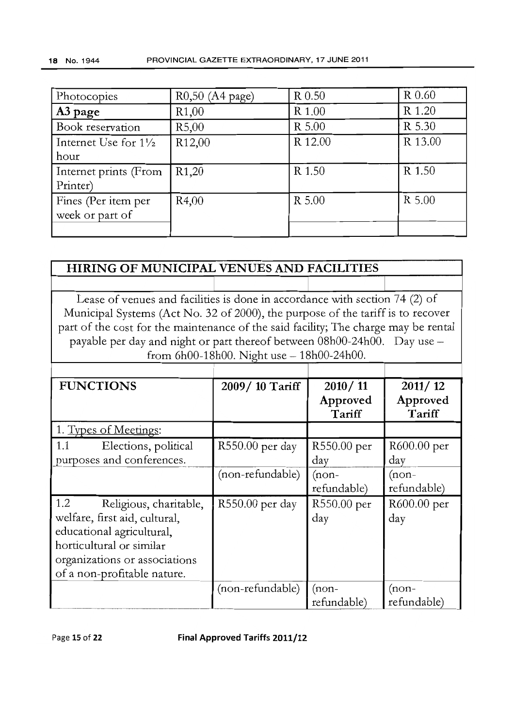| Photocopies                     | R0,50 (A4 page)    | R 0.50  | R 0.60  |
|---------------------------------|--------------------|---------|---------|
| A3 page                         | R <sub>1</sub> ,00 | R 1.00  | R 1.20  |
| Book reservation                | R5,00              | R 5.00  | R 5.30  |
| Internet Use for $1\frac{1}{2}$ | R <sub>12,00</sub> | R 12.00 | R 13.00 |
| hour                            |                    |         |         |
| Internet prints (From           | R <sub>1</sub> ,20 | R 1.50  | R 1.50  |
| Printer)                        |                    |         |         |
| Fines (Per item per             | R4,00              | R 5.00  | R 5.00  |
| week or part of                 |                    |         |         |
|                                 |                    |         |         |

# **HIRING OF MUNICIPAL VENUES AND FACILITIES**

Lease of venues and facilities is done in accordance with section 74 (2) of Municipal Systems (Act No. 32 of 2000), the purpose of the tariff is to recover part of the cost for the maintenance of the said facility; The charge may be rental payable per day and night or part thereof between 08hOO-24hOO. Day use from 6hOO-18hOO. Night use - 18hOO-24hOO.

| <b>FUNCTIONS</b>                                                                                                                                                                        | 2009/10 Tariff   | 2010/11<br>Approved<br>Tariff | 2011/12<br>Approved<br>Tariff |
|-----------------------------------------------------------------------------------------------------------------------------------------------------------------------------------------|------------------|-------------------------------|-------------------------------|
| 1. Types of Meetings:                                                                                                                                                                   |                  |                               |                               |
| 1.1<br>Elections, political<br>purposes and conferences.                                                                                                                                | R550.00 per day  | R550.00 per<br>day            | R600.00 per<br>day            |
|                                                                                                                                                                                         | (non-refundable) | $(non-$<br>refundable)        | $($ non-<br>refundable)       |
| 1.2<br>Religious, charitable,<br>welfare, first aid, cultural,<br>educational agricultural,<br>horticultural or similar<br>organizations or associations<br>of a non-profitable nature. | R550.00 per day  | R550.00 per<br>day            | R600.00 per<br>day            |
|                                                                                                                                                                                         | (non-refundable) | $(non-$<br>refundable)        | $(non-$<br>refundable)        |

Page **15 of 22 Final Approved Tariffs 2011/12**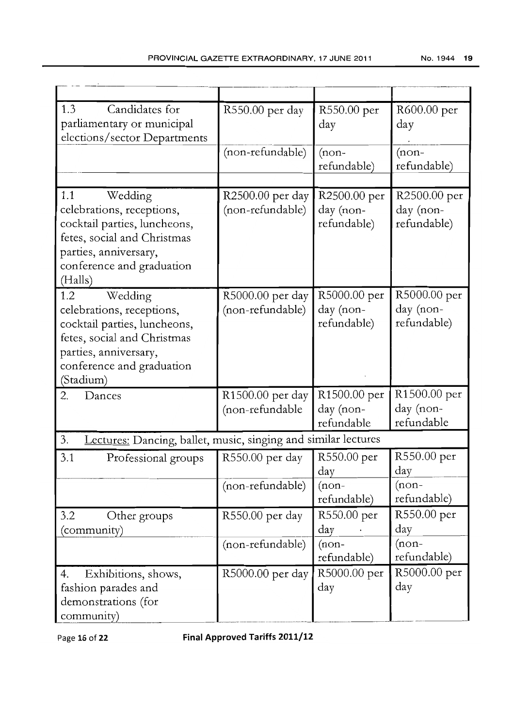| 1.3<br>Candidates for<br>parliamentary or municipal<br>elections/sector Departments                                                                                           | R550.00 per day                      | R550.00 per<br>day                       | R600.00 per<br>day                       |
|-------------------------------------------------------------------------------------------------------------------------------------------------------------------------------|--------------------------------------|------------------------------------------|------------------------------------------|
|                                                                                                                                                                               | (non-refundable)                     | $(non-$<br>refundable)                   | $(non-$<br>refundable)                   |
| 1.1<br>Wedding<br>celebrations, receptions,<br>cocktail parties, luncheons,<br>fetes, social and Christmas<br>parties, anniversary,<br>conference and graduation<br>(Halls)   | R2500.00 per day<br>(non-refundable) | R2500.00 per<br>day (non-<br>refundable) | R2500.00 per<br>day (non-<br>refundable) |
| 1.2<br>Wedding<br>celebrations, receptions,<br>cocktail parties, luncheons,<br>fetes, social and Christmas<br>parties, anniversary,<br>conference and graduation<br>(Stadium) | R5000.00 per day<br>(non-refundable) | R5000.00 per<br>day (non-<br>refundable) | R5000.00 per<br>day (non-<br>refundable) |
| 2.<br>Dances                                                                                                                                                                  | R1500.00 per day<br>(non-refundable  | R1500.00 per<br>day (non-<br>refundable  | R1500.00 per<br>day (non-<br>refundable  |
| 3.<br>Lectures: Dancing, ballet, music, singing and similar lectures                                                                                                          |                                      |                                          |                                          |
| 3.1<br>Professional groups                                                                                                                                                    | R550.00 per day                      | R550.00 per<br>day                       | R550.00 per<br>day                       |
|                                                                                                                                                                               | (non-refundable)                     | $(non-$<br>refundable)                   | $(non-$<br>refundable)                   |
| 3.2<br>Other groups<br>(community)                                                                                                                                            | R550.00 per day                      | R550.00 per<br>day                       | R550.00 per<br>day                       |
|                                                                                                                                                                               | (non-refundable)                     | $(non-$<br>refundable)                   | $(non-$<br>refundable)                   |
| 4.<br>Exhibitions, shows,<br>fashion parades and<br>demonstrations (for<br>community)                                                                                         | R5000.00 per day                     | R5000.00 per<br>day                      | R5000.00 per<br>day                      |

Page **16 of 22 Final Approved Tariffs 2011/12**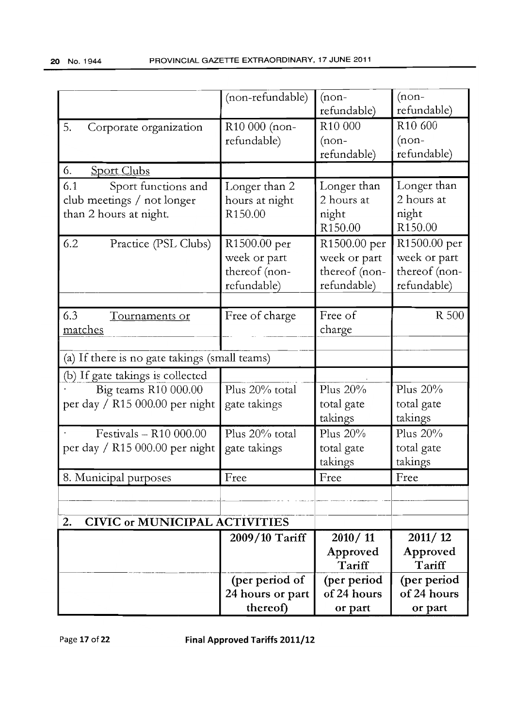|                                               | (non-refundable) | $(non-$             | $(non-$             |
|-----------------------------------------------|------------------|---------------------|---------------------|
|                                               |                  | refundable)         | refundable)         |
| 5.<br>Corporate organization                  | R10 000 (non-    | R <sub>10</sub> 000 | R <sub>10</sub> 600 |
|                                               | refundable)      | $($ non-            | $(non-$             |
|                                               |                  | refundable)         | refundable)         |
| <b>Sport Clubs</b><br>6.                      |                  |                     |                     |
| Sport functions and<br>6.1                    | Longer than 2    | Longer than         | Longer than         |
| club meetings / not longer                    | hours at night   | 2 hours at          | 2 hours at          |
| than 2 hours at night.                        | R150.00          | night               | night               |
|                                               |                  | R <sub>150.00</sub> | R <sub>150.00</sub> |
| 6.2<br>Practice (PSL Clubs)                   | R1500.00 per     | R1500.00 per        | R1500.00 per        |
|                                               | week or part     | week or part        | week or part        |
|                                               | thereof (non-    | thereof (non-       | thereof (non-       |
|                                               | refundable)      | refundable)         | refundable)         |
|                                               |                  |                     |                     |
| 6.3<br>Tournaments or                         | Free of charge   | Free of             | <b>R</b> 500        |
| <u>matches</u>                                |                  | charge              |                     |
|                                               |                  |                     |                     |
| (a) If there is no gate takings (small teams) |                  |                     |                     |
| (b) If gate takings is collected              |                  |                     |                     |
| Big teams R10 000.00                          | Plus 20% total   | Plus 20%            | Plus 20%            |
| per day / R15 000.00 per night                | gate takings     | total gate          | total gate          |
|                                               |                  | takings             | takings             |
| Festivals $-$ R10 000.00                      | Plus 20% total   | Plus 20%            | Plus 20%            |
| per day / $R15 000.00$ per night              | gate takings     | total gate          | total gate          |
|                                               |                  | takings             | takings             |
| 8. Municipal purposes                         | Free             | Free                | Free                |
|                                               |                  |                     |                     |
|                                               |                  |                     |                     |
| <b>CIVIC or MUNICIPAL ACTIVITIES</b><br>2.    |                  |                     |                     |
|                                               | 2009/10 Tariff   | 2010/11             | 2011/12             |
|                                               |                  | Approved            | Approved            |
|                                               |                  | Tariff              | Tariff              |
|                                               | (per period of   | (per period         | (per period         |
|                                               | 24 hours or part | of 24 hours         | of 24 hours         |
|                                               | thereof)         | or part             | or part             |

Page 17 of **22 Final Approved Tariffs 2011/12**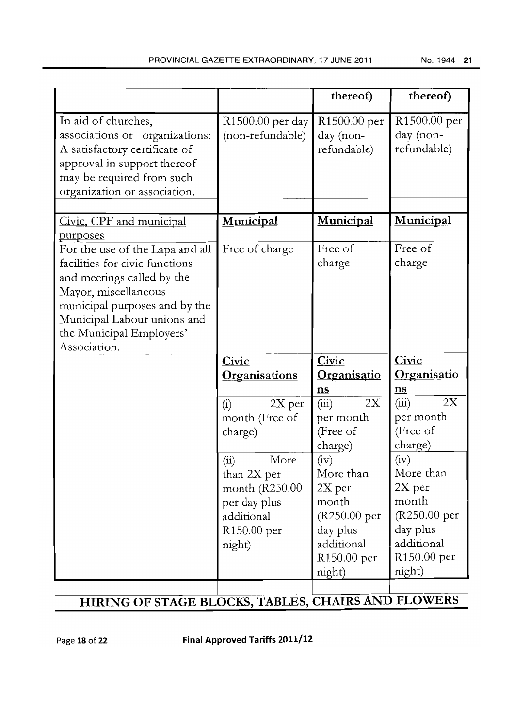|                                                                                                                                                                                                                                     |                                                                                                     | thereof)                                                                                                  | thereof)                                                                                                  |
|-------------------------------------------------------------------------------------------------------------------------------------------------------------------------------------------------------------------------------------|-----------------------------------------------------------------------------------------------------|-----------------------------------------------------------------------------------------------------------|-----------------------------------------------------------------------------------------------------------|
| In aid of churches,<br>associations or organizations:<br>A satisfactory certificate of<br>approval in support thereof<br>may be required from such<br>organization or association.                                                  | R1500.00 per day<br>(non-refundable)                                                                | R1500.00 per<br>day (non-<br>refundable)                                                                  | R1500.00 per<br>day (non-<br>refundable)                                                                  |
| Civic, CPF and municipal<br>purposes                                                                                                                                                                                                | Municipal                                                                                           | Municipal                                                                                                 | Municipal                                                                                                 |
| For the use of the Lapa and all<br>facilities for civic functions<br>and meetings called by the<br>Mayor, miscellaneous<br>municipal purposes and by the<br>Municipal Labour unions and<br>the Municipal Employers'<br>Association. | Free of charge                                                                                      | Free of<br>charge                                                                                         | Free of<br>charge                                                                                         |
|                                                                                                                                                                                                                                     | Civic                                                                                               | Civic                                                                                                     | Civic                                                                                                     |
|                                                                                                                                                                                                                                     | <b>Organisations</b>                                                                                | <b>Organisatio</b>                                                                                        | <u>Organisatio</u>                                                                                        |
|                                                                                                                                                                                                                                     |                                                                                                     | $\underline{\mathbf{n}}\underline{\mathbf{s}}$                                                            | n s                                                                                                       |
|                                                                                                                                                                                                                                     | $2X$ per<br>(i)<br>month (Free of<br>charge)                                                        | 2X<br>(iii)<br>per month<br>(Free of                                                                      | 2X<br>(iii)<br>per month<br>(Free of                                                                      |
|                                                                                                                                                                                                                                     |                                                                                                     | charge)                                                                                                   | charge)                                                                                                   |
|                                                                                                                                                                                                                                     | More<br>(i)<br>than 2X per<br>month (R250.00<br>per day plus<br>additional<br>R150.00 per<br>night) | (iv)<br>More than<br>$2X$ per<br>month<br>(R250.00 per<br>day plus<br>additional<br>R150.00 per<br>night) | (iv)<br>More than<br>$2X$ per<br>month<br>(R250.00 per<br>day plus<br>additional<br>R150.00 per<br>night) |

# **HIRING** OF STAGE BLOCKS, TABLES, CHAIRS AND FLOWERS

Page 18 of 22 Final Approved Tariffs 2011/12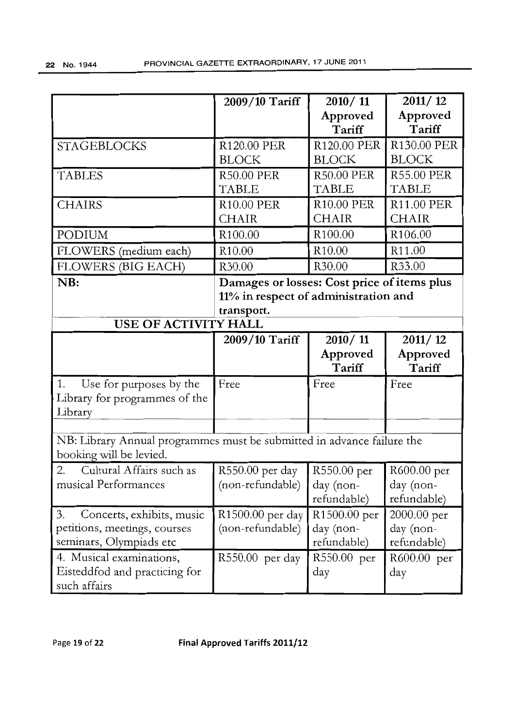|                                                                                                   | 2009/10 Tariff                                                                                    | 2010/11<br>Approved<br>Tariff                        | 2011/12<br>Approved<br>Tariff           |
|---------------------------------------------------------------------------------------------------|---------------------------------------------------------------------------------------------------|------------------------------------------------------|-----------------------------------------|
| <b>STAGEBLOCKS</b>                                                                                | R120.00 PER<br><b>BLOCK</b>                                                                       | R120.00 PER<br><b>BLOCK</b>                          | R130.00 PER<br><b>BLOCK</b>             |
| <b>TABLES</b>                                                                                     | <b>R50.00 PER</b><br><b>TABLE</b>                                                                 | <b>R50.00 PER</b><br><b>TABLE</b>                    | <b>R55.00 PER</b><br><b>TABLE</b>       |
| <b>CHAIRS</b>                                                                                     | <b>R10.00 PER</b><br><b>CHAIR</b>                                                                 | <b>R10.00 PER</b><br><b>CHAIR</b>                    | <b>R11.00 PER</b><br><b>CHAIR</b>       |
| PODIUM                                                                                            | R <sub>100.00</sub>                                                                               | R <sub>100.00</sub>                                  | R <sub>106.00</sub>                     |
| FLOWERS (medium each)                                                                             | R <sub>10.00</sub>                                                                                | R <sub>10.00</sub>                                   | R11.00                                  |
| <b>FLOWERS (BIG EACH)</b>                                                                         | R30.00                                                                                            | R30.00                                               | R33.00                                  |
| NB:<br>USE OF ACTIVITY HALL                                                                       | Damages or losses: Cost price of items plus<br>11% in respect of administration and<br>transport. |                                                      |                                         |
|                                                                                                   | 2009/10 Tariff                                                                                    | 2010/11<br>Approved<br>Tariff                        | 2011/12<br>Approved<br>Tariff           |
| 1.<br>Use for purposes by the<br>Library for programmes of the<br>Library                         | Free                                                                                              | Free                                                 | Free                                    |
| NB: Library Annual programmes must be submitted in advance failure the<br>booking will be levied. |                                                                                                   |                                                      |                                         |
| Cultural Affairs such as<br>2.<br>musical Performances                                            | R550.00 per day<br>(non-refundable)                                                               | R550.00 per<br>day (non-<br>refundable)              | R600.00 per<br>day (non-<br>refundable) |
| Concerts, exhibits, music<br>3.<br>petitions, meetings, courses<br>seminars, Olympiads etc        | R1500.00 per day<br>(non-refundable)                                                              | R <sub>1500.00</sub> per<br>day (non-<br>refundable) | 2000.00 per<br>day (non-<br>refundable) |
| 4. Musical examinations,<br>Eisteddfod and practicing for<br>such affairs                         | R550.00 per day                                                                                   | R550.00 per<br>day                                   | R600.00 per<br>day                      |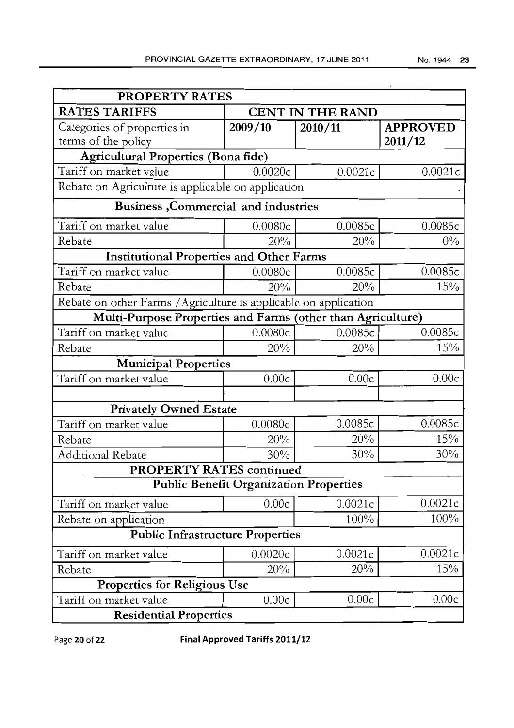| <b>PROPERTY RATES</b>                                            |                                               |                         |                 |  |
|------------------------------------------------------------------|-----------------------------------------------|-------------------------|-----------------|--|
| <b>RATES TARIFFS</b>                                             |                                               | <b>CENT IN THE RAND</b> |                 |  |
| Categories of properties in                                      | 2009/10                                       | 2010/11                 | <b>APPROVED</b> |  |
| terms of the policy                                              |                                               |                         | 2011/12         |  |
| <b>Agricultural Properties (Bona fide)</b>                       |                                               |                         |                 |  |
| Tariff on market value                                           | 0.0020c                                       | 0.0021c                 | 0.0021c         |  |
| Rebate on Agriculture is applicable on application               |                                               |                         |                 |  |
| Business, Commercial and industries                              |                                               |                         |                 |  |
| Tariff on market value                                           | 0.0080c                                       | 0.0085c                 | 0.0085c         |  |
| Rebate                                                           | 20%                                           | 20%                     | $0\%$           |  |
| <b>Institutional Properties and Other Farms</b>                  |                                               |                         |                 |  |
| Tariff on market value                                           | 0.0080c                                       | 0.0085c                 | 0.0085c         |  |
| Rebate                                                           | 20%                                           | 20%                     | 15%             |  |
| Rebate on other Farms / Agriculture is applicable on application |                                               |                         |                 |  |
| Multi-Purpose Properties and Farms (other than Agriculture)      |                                               |                         |                 |  |
| Tariff on market value                                           | 0.0080c                                       | 0.0085c                 | 0.0085c         |  |
| Rebate                                                           | 20%                                           | 20%                     | 15%             |  |
| <b>Municipal Properties</b>                                      |                                               |                         |                 |  |
| Tariff on market value                                           | 0.00c                                         | 0.00c                   | 0.00c           |  |
|                                                                  |                                               |                         |                 |  |
| <b>Privately Owned Estate</b>                                    |                                               |                         |                 |  |
| Tariff on market value                                           | 0.0080c                                       | 0.0085c                 | 0.0085c         |  |
| Rebate                                                           | 20%                                           | 20%                     | 15%             |  |
| <b>Additional Rebate</b>                                         | 30%                                           | 30%                     | 30%             |  |
| <b>PROPERTY RATES continued</b>                                  |                                               |                         |                 |  |
|                                                                  | <b>Public Benefit Organization Properties</b> |                         |                 |  |
| Tariff on market value                                           | 0.00c                                         | 0.0021c                 | 0.0021c         |  |
| Rebate on application                                            |                                               | 100%                    | 100%            |  |
| <b>Public Infrastructure Properties</b>                          |                                               |                         |                 |  |
| Tariff on market value                                           | 0.0020c                                       | 0.0021c                 | 0.0021c         |  |
| Rebate                                                           | 20%                                           | 20%                     | 15%             |  |
| <b>Properties for Religious Use</b>                              |                                               |                         |                 |  |
| Tariff on market value                                           | 0.00c                                         | 0.00c                   | 0.00c           |  |
| <b>Residential Properties</b>                                    |                                               |                         |                 |  |

Page **20 of 22 Final Approved Tariffs 2011/12**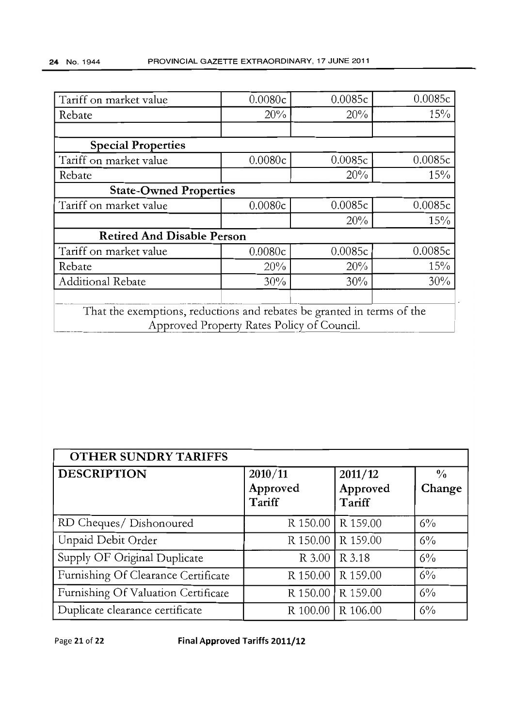| Tariff on market value                                                 | 0.0080c | 0.0085c | 0.0085c |
|------------------------------------------------------------------------|---------|---------|---------|
| Rebate                                                                 | 20%     | 20%     | 15%     |
|                                                                        |         |         |         |
| <b>Special Properties</b>                                              |         |         |         |
| Tariff on market value                                                 | 0.0080c | 0.0085c | 0.0085c |
| Rebate                                                                 |         | 20%     | 15%     |
| <b>State-Owned Properties</b>                                          |         |         |         |
| Tariff on market value                                                 | 0.0080c | 0.0085c | 0.0085c |
|                                                                        |         | 20%     | 15%     |
| <b>Retired And Disable Person</b>                                      |         |         |         |
| Tariff on market value                                                 | 0.0080c | 0.0085c | 0.0085c |
| Rebate                                                                 | 20%     | 20%     | 15%     |
| Additional Rebate                                                      | 30%     | 30%     | 30%     |
|                                                                        |         |         |         |
| That the exemptions, reductions and rebates be granted in terms of the |         |         |         |
| Approved Property Rates Policy of Council.                             |         |         |         |

| <b>OTHER SUNDRY TARIFFS</b>         |                     |                     |                         |
|-------------------------------------|---------------------|---------------------|-------------------------|
| <b>DESCRIPTION</b>                  | 2010/11<br>Approved | 2011/12<br>Approved | $\frac{0}{0}$<br>Change |
|                                     | Tariff              | Tariff              |                         |
| RD Cheques/ Dishonoured             |                     | R 150.00   R 159.00 | $6\%$                   |
| Unpaid Debit Order                  |                     | R 150.00   R 159.00 | $6\%$                   |
| Supply OF Original Duplicate        |                     | R 3.00   R 3.18     | $6\%$                   |
| Furnishing Of Clearance Certificate |                     | R 150.00   R 159.00 | $6\%$                   |
| Furnishing Of Valuation Certificate |                     | R 150.00   R 159.00 | $6\%$                   |
| Duplicate clearance certificate     |                     | R 100.00   R 106.00 | 6%                      |

Page **21 of 22 Final Approved Tariffs 2011/12**